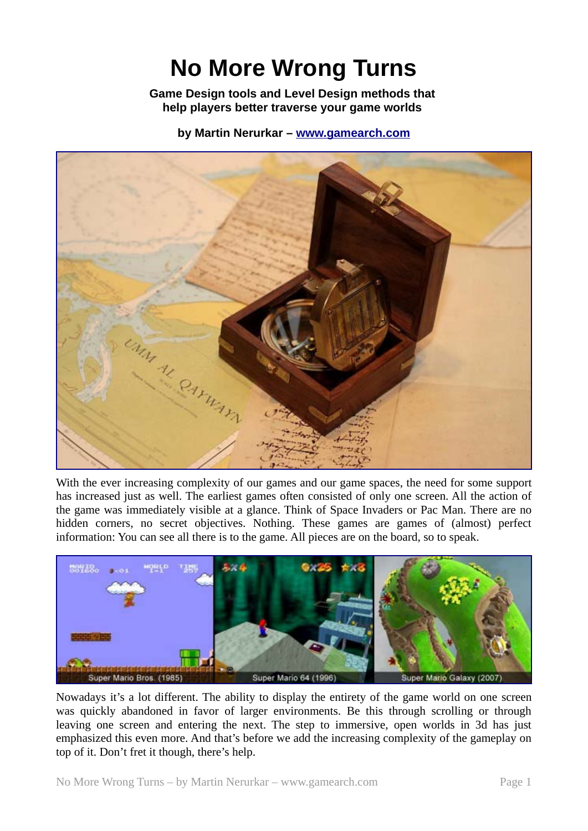# **No More Wrong Turns**

**Game Design tools and Level Design methods that help players better traverse your game worlds** 

**by Martin Nerurkar – www.gamearch.com**



With the ever increasing complexity of our games and our game spaces, the need for some support has increased just as well. The earliest games often consisted of only one screen. All the action of the game was immediately visible at a glance. Think of Space Invaders or Pac Man. There are no hidden corners, no secret objectives. Nothing. These games are games of (almost) perfect information: You can see all there is to the game. All pieces are on the board, so to speak.



Nowadays it's a lot different. The ability to display the entirety of the game world on one screen was quickly abandoned in favor of larger environments. Be this through scrolling or through leaving one screen and entering the next. The step to immersive, open worlds in 3d has just emphasized this even more. And that's before we add the increasing complexity of the gameplay on top of it. Don't fret it though, there's help.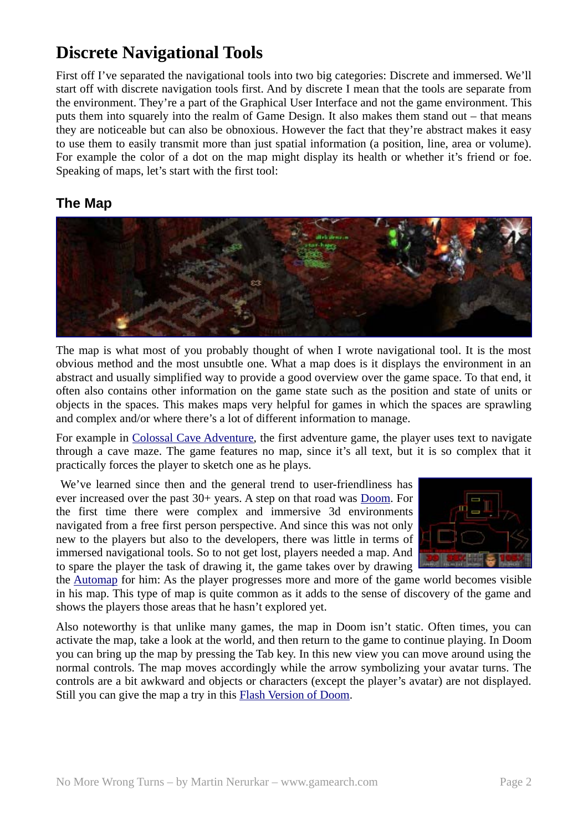## **Discrete Navigational Tools**

First off I've separated the navigational tools into two big categories: Discrete and immersed. We'll start off with discrete navigation tools first. And by discrete I mean that the tools are separate from the environment. They're a part of the Graphical User Interface and not the game environment. This puts them into squarely into the realm of Game Design. It also makes them stand out – that means they are noticeable but can also be obnoxious. However the fact that they're abstract makes it easy to use them to easily transmit more than just spatial information (a position, line, area or volume). For example the color of a dot on the map might display its health or whether it's friend or foe. Speaking of maps, let's start with the first tool:

## **The Map**



The map is what most of you probably thought of when I wrote navigational tool. It is the most obvious method and the most unsubtle one. What a map does is it displays the environment in an abstract and usually simplified way to provide a good overview over the game space. To that end, it often also contains other information on the game state such as the position and state of units or objects in the spaces. This makes maps very helpful for games in which the spaces are sprawling and complex and/or where there's a lot of different information to manage.

For example in Colossal Cave Adventure, the first adventure game, the player uses text to navigate through a cave maze. The game features no map, since it's all text, but it is so complex that it practically forces the player to sketch one as he plays.

 We've learned since then and the general trend to user-friendliness has ever increased over the past 30+ years. A step on that road was Doom. For the first time there were complex and immersive 3d environments navigated from a free first person perspective. And since this was not only new to the players but also to the developers, there was little in terms of immersed navigational tools. So to not get lost, players needed a map. And to spare the player the task of drawing it, the game takes over by drawing



the Automap for him: As the player progresses more and more of the game world becomes visible in his map. This type of map is quite common as it adds to the sense of discovery of the game and shows the players those areas that he hasn't explored yet.

Also noteworthy is that unlike many games, the map in Doom isn't static. Often times, you can activate the map, take a look at the world, and then return to the game to continue playing. In Doom you can bring up the map by pressing the Tab key. In this new view you can move around using the normal controls. The map moves accordingly while the arrow symbolizing your avatar turns. The controls are a bit awkward and objects or characters (except the player's avatar) are not displayed. Still you can give the map a try in this Flash Version of Doom.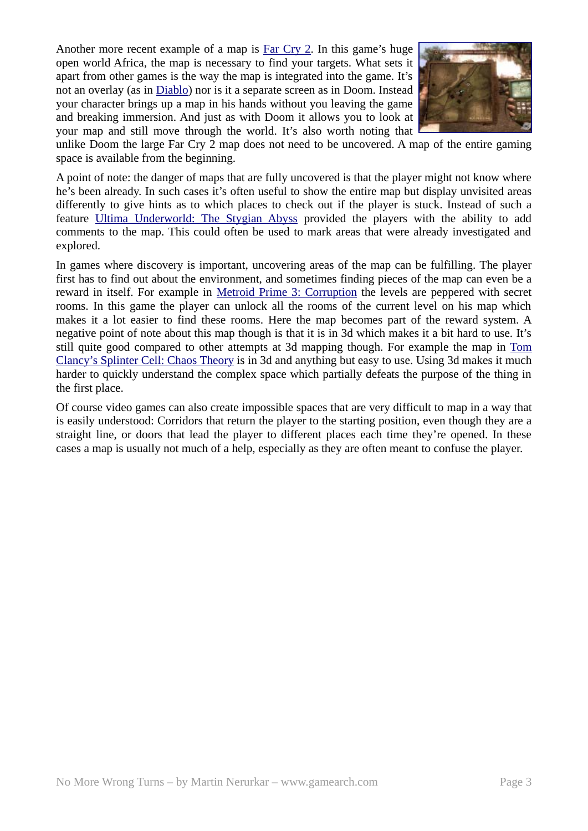Another more recent example of a map is Far Cry 2. In this game's huge open world Africa, the map is necessary to find your targets. What sets it apart from other games is the way the map is integrated into the game. It's not an overlay (as in Diablo) nor is it a separate screen as in Doom. Instead your character brings up a map in his hands without you leaving the game and breaking immersion. And just as with Doom it allows you to look at your map and still move through the world. It's also worth noting that



unlike Doom the large Far Cry 2 map does not need to be uncovered. A map of the entire gaming space is available from the beginning.

A point of note: the danger of maps that are fully uncovered is that the player might not know where he's been already. In such cases it's often useful to show the entire map but display unvisited areas differently to give hints as to which places to check out if the player is stuck. Instead of such a feature Ultima Underworld: The Stygian Abyss provided the players with the ability to add comments to the map. This could often be used to mark areas that were already investigated and explored.

In games where discovery is important, uncovering areas of the map can be fulfilling. The player first has to find out about the environment, and sometimes finding pieces of the map can even be a reward in itself. For example in Metroid Prime 3: Corruption the levels are peppered with secret rooms. In this game the player can unlock all the rooms of the current level on his map which makes it a lot easier to find these rooms. Here the map becomes part of the reward system. A negative point of note about this map though is that it is in 3d which makes it a bit hard to use. It's still quite good compared to other attempts at 3d mapping though. For example the map in Tom Clancy's Splinter Cell: Chaos Theory is in 3d and anything but easy to use. Using 3d makes it much harder to quickly understand the complex space which partially defeats the purpose of the thing in the first place.

Of course video games can also create impossible spaces that are very difficult to map in a way that is easily understood: Corridors that return the player to the starting position, even though they are a straight line, or doors that lead the player to different places each time they're opened. In these cases a map is usually not much of a help, especially as they are often meant to confuse the player.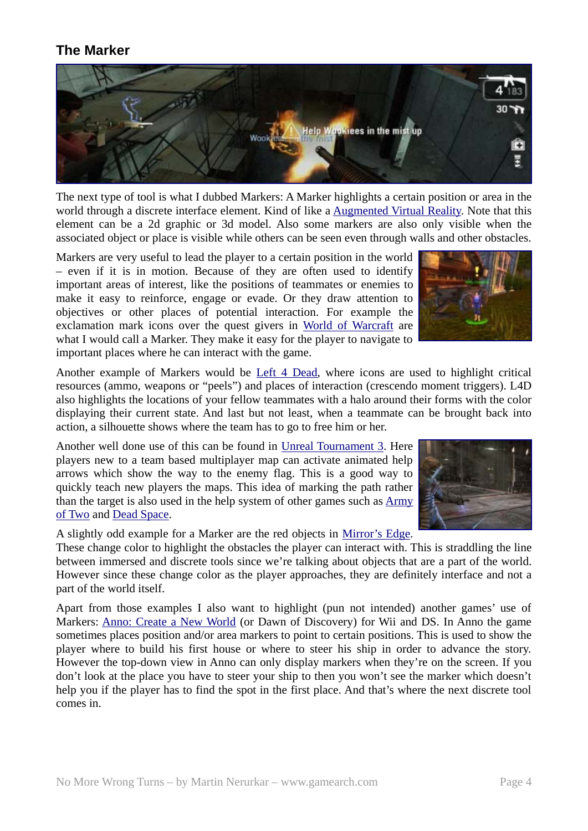### **The Marker**



The next type of tool is what I dubbed Markers: A Marker highlights a certain position or area in the world through a discrete interface element. Kind of like a Augmented Virtual Reality. Note that this element can be a 2d graphic or 3d model. Also some markers are also only visible when the associated object or place is visible while others can be seen even through walls and other obstacles.

Markers are very useful to lead the player to a certain position in the world – even if it is in motion. Because of they are often used to identify important areas of interest, like the positions of teammates or enemies to make it easy to reinforce, engage or evade. Or they draw attention to objectives or other places of potential interaction. For example the exclamation mark icons over the quest givers in World of Warcraft are what I would call a Marker. They make it easy for the player to navigate to important places where he can interact with the game.



Another example of Markers would be Left 4 Dead, where icons are used to highlight critical resources (ammo, weapons or "peels") and places of interaction (crescendo moment triggers). L4D also highlights the locations of your fellow teammates with a halo around their forms with the color displaying their current state. And last but not least, when a teammate can be brought back into action, a silhouette shows where the team has to go to free him or her.

Another well done use of this can be found in Unreal Tournament 3. Here players new to a team based multiplayer map can activate animated help arrows which show the way to the enemy flag. This is a good way to quickly teach new players the maps. This idea of marking the path rather than the target is also used in the help system of other games such as Army of Two and Dead Space.

A slightly odd example for a Marker are the red objects in Mirror's Edge.

These change color to highlight the obstacles the player can interact with. This is straddling the line between immersed and discrete tools since we're talking about objects that are a part of the world. However since these change color as the player approaches, they are definitely interface and not a part of the world itself.

Apart from those examples I also want to highlight (pun not intended) another games' use of Markers: Anno: Create a New World (or Dawn of Discovery) for Wii and DS. In Anno the game sometimes places position and/or area markers to point to certain positions. This is used to show the player where to build his first house or where to steer his ship in order to advance the story. However the top-down view in Anno can only display markers when they're on the screen. If you don't look at the place you have to steer your ship to then you won't see the marker which doesn't help you if the player has to find the spot in the first place. And that's where the next discrete tool comes in.

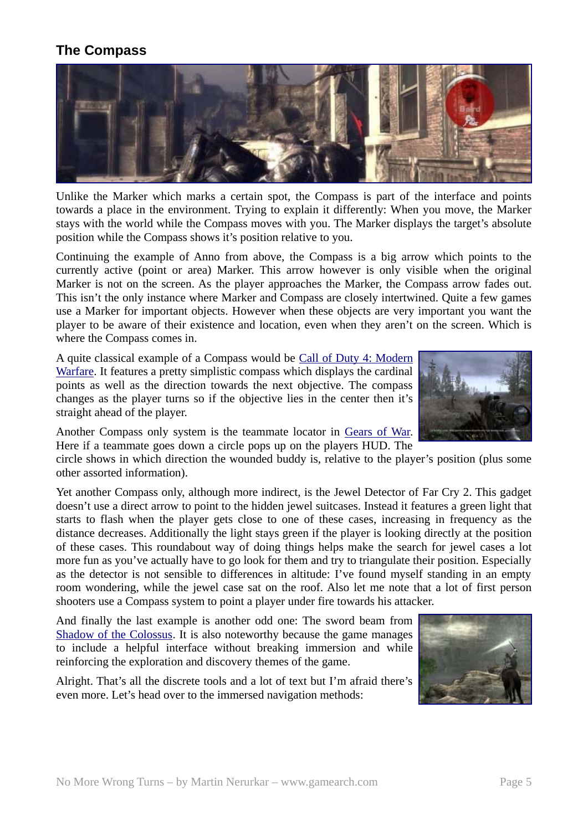## **The Compass**



Unlike the Marker which marks a certain spot, the Compass is part of the interface and points towards a place in the environment. Trying to explain it differently: When you move, the Marker stays with the world while the Compass moves with you. The Marker displays the target's absolute position while the Compass shows it's position relative to you.

Continuing the example of Anno from above, the Compass is a big arrow which points to the currently active (point or area) Marker. This arrow however is only visible when the original Marker is not on the screen. As the player approaches the Marker, the Compass arrow fades out. This isn't the only instance where Marker and Compass are closely intertwined. Quite a few games use a Marker for important objects. However when these objects are very important you want the player to be aware of their existence and location, even when they aren't on the screen. Which is where the Compass comes in.

A quite classical example of a Compass would be Call of Duty 4: Modern Warfare. It features a pretty simplistic compass which displays the cardinal points as well as the direction towards the next objective. The compass changes as the player turns so if the objective lies in the center then it's straight ahead of the player.

Another Compass only system is the teammate locator in Gears of War. Here if a teammate goes down a circle pops up on the players HUD. The

circle shows in which direction the wounded buddy is, relative to the player's position (plus some other assorted information).

Yet another Compass only, although more indirect, is the Jewel Detector of Far Cry 2. This gadget doesn't use a direct arrow to point to the hidden jewel suitcases. Instead it features a green light that starts to flash when the player gets close to one of these cases, increasing in frequency as the distance decreases. Additionally the light stays green if the player is looking directly at the position of these cases. This roundabout way of doing things helps make the search for jewel cases a lot more fun as you've actually have to go look for them and try to triangulate their position. Especially as the detector is not sensible to differences in altitude: I've found myself standing in an empty room wondering, while the jewel case sat on the roof. Also let me note that a lot of first person shooters use a Compass system to point a player under fire towards his attacker.

And finally the last example is another odd one: The sword beam from Shadow of the Colossus. It is also noteworthy because the game manages to include a helpful interface without breaking immersion and while reinforcing the exploration and discovery themes of the game.

Alright. That's all the discrete tools and a lot of text but I'm afraid there's even more. Let's head over to the immersed navigation methods:



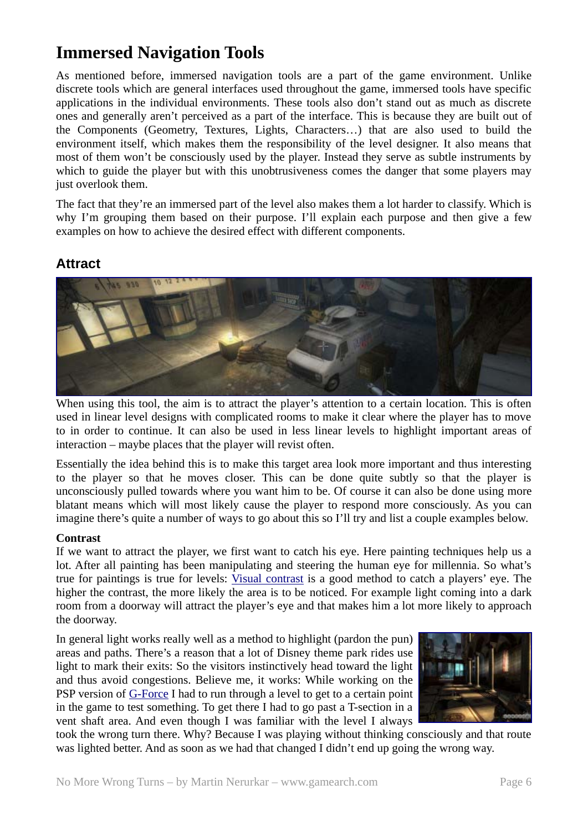## **Immersed Navigation Tools**

As mentioned before, immersed navigation tools are a part of the game environment. Unlike discrete tools which are general interfaces used throughout the game, immersed tools have specific applications in the individual environments. These tools also don't stand out as much as discrete ones and generally aren't perceived as a part of the interface. This is because they are built out of the Components (Geometry, Textures, Lights, Characters…) that are also used to build the environment itself, which makes them the responsibility of the level designer. It also means that most of them won't be consciously used by the player. Instead they serve as subtle instruments by which to guide the player but with this unobtrusiveness comes the danger that some players may just overlook them.

The fact that they're an immersed part of the level also makes them a lot harder to classify. Which is why I'm grouping them based on their purpose. I'll explain each purpose and then give a few examples on how to achieve the desired effect with different components.

### **Attract**



When using this tool, the aim is to attract the player's attention to a certain location. This is often used in linear level designs with complicated rooms to make it clear where the player has to move to in order to continue. It can also be used in less linear levels to highlight important areas of interaction – maybe places that the player will revist often.

Essentially the idea behind this is to make this target area look more important and thus interesting to the player so that he moves closer. This can be done quite subtly so that the player is unconsciously pulled towards where you want him to be. Of course it can also be done using more blatant means which will most likely cause the player to respond more consciously. As you can imagine there's quite a number of ways to go about this so I'll try and list a couple examples below.

#### **Contrast**

If we want to attract the player, we first want to catch his eye. Here painting techniques help us a lot. After all painting has been manipulating and steering the human eye for millennia. So what's true for paintings is true for levels: Visual contrast is a good method to catch a players' eye. The higher the contrast, the more likely the area is to be noticed. For example light coming into a dark room from a doorway will attract the player's eye and that makes him a lot more likely to approach the doorway.

In general light works really well as a method to highlight (pardon the pun) areas and paths. There's a reason that a lot of Disney theme park rides use light to mark their exits: So the visitors instinctively head toward the light and thus avoid congestions. Believe me, it works: While working on the PSP version of G-Force I had to run through a level to get to a certain point in the game to test something. To get there I had to go past a T-section in a vent shaft area. And even though I was familiar with the level I always



took the wrong turn there. Why? Because I was playing without thinking consciously and that route was lighted better. And as soon as we had that changed I didn't end up going the wrong way.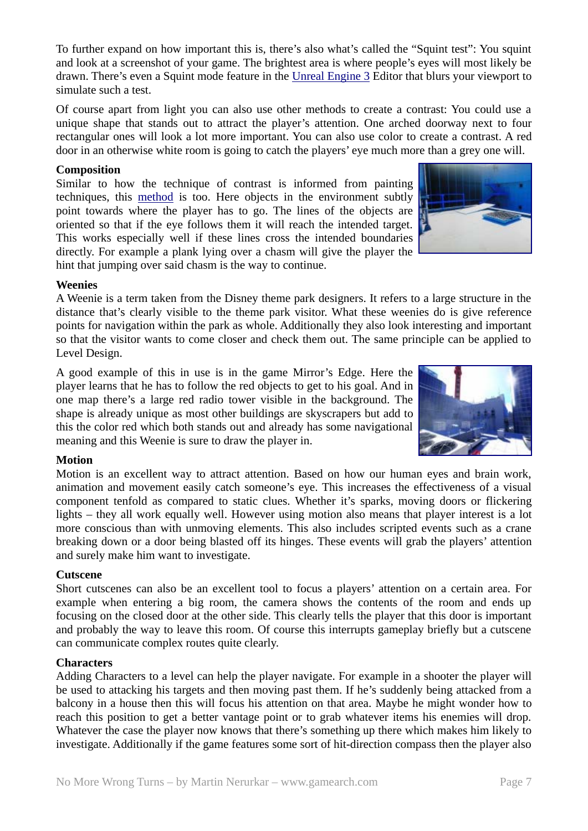To further expand on how important this is, there's also what's called the "Squint test": You squint and look at a screenshot of your game. The brightest area is where people's eyes will most likely be drawn. There's even a Squint mode feature in the Unreal Engine 3 Editor that blurs your viewport to simulate such a test.

Of course apart from light you can also use other methods to create a contrast: You could use a unique shape that stands out to attract the player's attention. One arched doorway next to four rectangular ones will look a lot more important. You can also use color to create a contrast. A red door in an otherwise white room is going to catch the players' eye much more than a grey one will.

#### **Composition**

Similar to how the technique of contrast is informed from painting techniques, this method is too. Here objects in the environment subtly point towards where the player has to go. The lines of the objects are oriented so that if the eye follows them it will reach the intended target. This works especially well if these lines cross the intended boundaries directly. For example a plank lying over a chasm will give the player the hint that jumping over said chasm is the way to continue.

#### **Weenies**

A Weenie is a term taken from the Disney theme park designers. It refers to a large structure in the distance that's clearly visible to the theme park visitor. What these weenies do is give reference points for navigation within the park as whole. Additionally they also look interesting and important so that the visitor wants to come closer and check them out. The same principle can be applied to Level Design.

A good example of this in use is in the game Mirror's Edge. Here the player learns that he has to follow the red objects to get to his goal. And in one map there's a large red radio tower visible in the background. The shape is already unique as most other buildings are skyscrapers but add to this the color red which both stands out and already has some navigational meaning and this Weenie is sure to draw the player in.

#### **Motion**

Motion is an excellent way to attract attention. Based on how our human eyes and brain work, animation and movement easily catch someone's eye. This increases the effectiveness of a visual component tenfold as compared to static clues. Whether it's sparks, moving doors or flickering lights – they all work equally well. However using motion also means that player interest is a lot more conscious than with unmoving elements. This also includes scripted events such as a crane breaking down or a door being blasted off its hinges. These events will grab the players' attention and surely make him want to investigate.

#### **Cutscene**

Short cutscenes can also be an excellent tool to focus a players' attention on a certain area. For example when entering a big room, the camera shows the contents of the room and ends up focusing on the closed door at the other side. This clearly tells the player that this door is important and probably the way to leave this room. Of course this interrupts gameplay briefly but a cutscene can communicate complex routes quite clearly.

#### **Characters**

Adding Characters to a level can help the player navigate. For example in a shooter the player will be used to attacking his targets and then moving past them. If he's suddenly being attacked from a balcony in a house then this will focus his attention on that area. Maybe he might wonder how to reach this position to get a better vantage point or to grab whatever items his enemies will drop. Whatever the case the player now knows that there's something up there which makes him likely to investigate. Additionally if the game features some sort of hit-direction compass then the player also



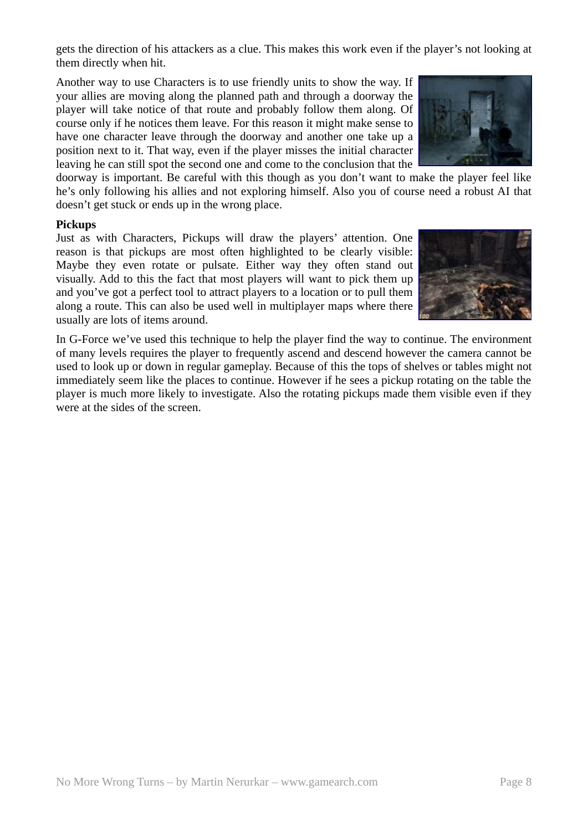gets the direction of his attackers as a clue. This makes this work even if the player's not looking at them directly when hit.

Another way to use Characters is to use friendly units to show the way. If your allies are moving along the planned path and through a doorway the player will take notice of that route and probably follow them along. Of course only if he notices them leave. For this reason it might make sense to have one character leave through the doorway and another one take up a position next to it. That way, even if the player misses the initial character leaving he can still spot the second one and come to the conclusion that the



doorway is important. Be careful with this though as you don't want to make the player feel like he's only following his allies and not exploring himself. Also you of course need a robust AI that doesn't get stuck or ends up in the wrong place.

#### **Pickups**

Just as with Characters, Pickups will draw the players' attention. One reason is that pickups are most often highlighted to be clearly visible: Maybe they even rotate or pulsate. Either way they often stand out visually. Add to this the fact that most players will want to pick them up and you've got a perfect tool to attract players to a location or to pull them along a route. This can also be used well in multiplayer maps where there usually are lots of items around.



In G-Force we've used this technique to help the player find the way to continue. The environment of many levels requires the player to frequently ascend and descend however the camera cannot be used to look up or down in regular gameplay. Because of this the tops of shelves or tables might not immediately seem like the places to continue. However if he sees a pickup rotating on the table the player is much more likely to investigate. Also the rotating pickups made them visible even if they were at the sides of the screen.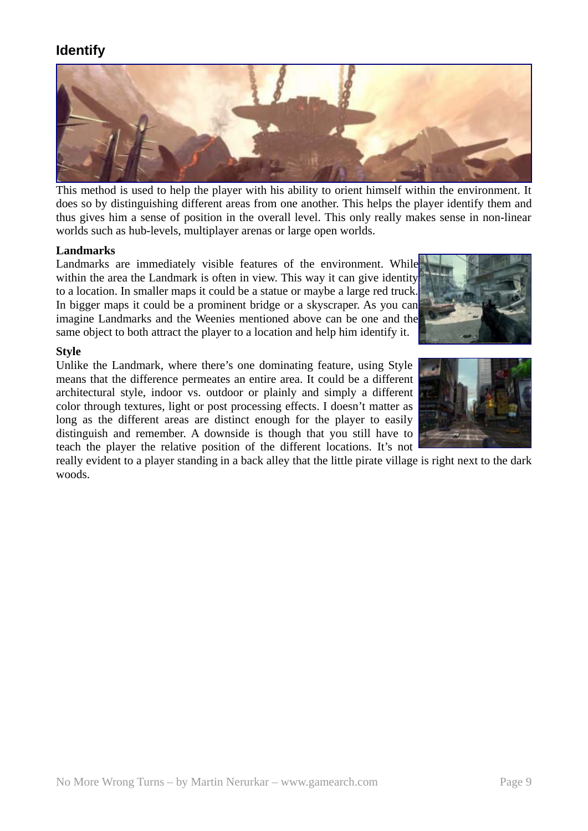## **Identify**



This method is used to help the player with his ability to orient himself within the environment. It does so by distinguishing different areas from one another. This helps the player identify them and thus gives him a sense of position in the overall level. This only really makes sense in non-linear worlds such as hub-levels, multiplayer arenas or large open worlds.

#### **Landmarks**

Landmarks are immediately visible features of the environment. While within the area the Landmark is often in view. This way it can give identity to a location. In smaller maps it could be a statue or maybe a large red truck. In bigger maps it could be a prominent bridge or a skyscraper. As you can imagine Landmarks and the Weenies mentioned above can be one and the same object to both attract the player to a location and help him identify it.



#### **Style**

Unlike the Landmark, where there's one dominating feature, using Style means that the difference permeates an entire area. It could be a different architectural style, indoor vs. outdoor or plainly and simply a different color through textures, light or post processing effects. I doesn't matter as long as the different areas are distinct enough for the player to easily distinguish and remember. A downside is though that you still have to teach the player the relative position of the different locations. It's not



really evident to a player standing in a back alley that the little pirate village is right next to the dark woods.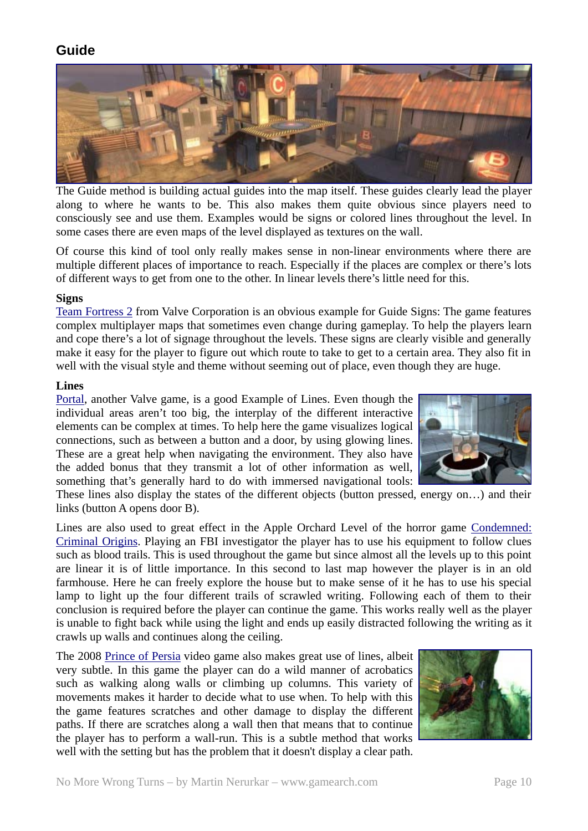## **Guide**



The Guide method is building actual guides into the map itself. These guides clearly lead the player along to where he wants to be. This also makes them quite obvious since players need to consciously see and use them. Examples would be signs or colored lines throughout the level. In some cases there are even maps of the level displayed as textures on the wall.

Of course this kind of tool only really makes sense in non-linear environments where there are multiple different places of importance to reach. Especially if the places are complex or there's lots of different ways to get from one to the other. In linear levels there's little need for this.

#### **Signs**

Team Fortress 2 from Valve Corporation is an obvious example for Guide Signs: The game features complex multiplayer maps that sometimes even change during gameplay. To help the players learn and cope there's a lot of signage throughout the levels. These signs are clearly visible and generally make it easy for the player to figure out which route to take to get to a certain area. They also fit in well with the visual style and theme without seeming out of place, even though they are huge.

#### **Lines**

Portal, another Valve game, is a good Example of Lines. Even though the individual areas aren't too big, the interplay of the different interactive elements can be complex at times. To help here the game visualizes logical connections, such as between a button and a door, by using glowing lines. These are a great help when navigating the environment. They also have the added bonus that they transmit a lot of other information as well, something that's generally hard to do with immersed navigational tools:



These lines also display the states of the different objects (button pressed, energy on…) and their links (button A opens door B).

Lines are also used to great effect in the Apple Orchard Level of the horror game Condemned: Criminal Origins. Playing an FBI investigator the player has to use his equipment to follow clues such as blood trails. This is used throughout the game but since almost all the levels up to this point are linear it is of little importance. In this second to last map however the player is in an old farmhouse. Here he can freely explore the house but to make sense of it he has to use his special lamp to light up the four different trails of scrawled writing. Following each of them to their conclusion is required before the player can continue the game. This works really well as the player is unable to fight back while using the light and ends up easily distracted following the writing as it crawls up walls and continues along the ceiling.

The 2008 Prince of Persia video game also makes great use of lines, albeit very subtle. In this game the player can do a wild manner of acrobatics such as walking along walls or climbing up columns. This variety of movements makes it harder to decide what to use when. To help with this the game features scratches and other damage to display the different paths. If there are scratches along a wall then that means that to continue the player has to perform a wall-run. This is a subtle method that works well with the setting but has the problem that it doesn't display a clear path.

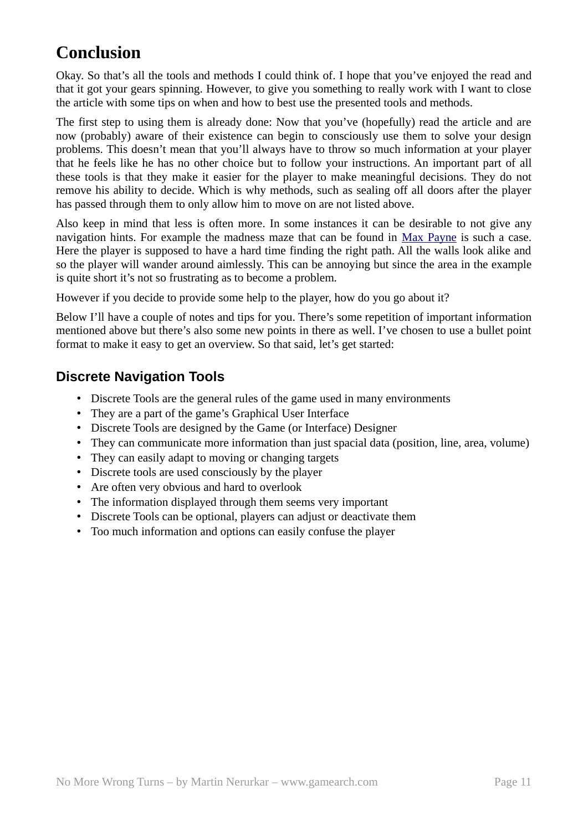## **Conclusion**

Okay. So that's all the tools and methods I could think of. I hope that you've enjoyed the read and that it got your gears spinning. However, to give you something to really work with I want to close the article with some tips on when and how to best use the presented tools and methods.

The first step to using them is already done: Now that you've (hopefully) read the article and are now (probably) aware of their existence can begin to consciously use them to solve your design problems. This doesn't mean that you'll always have to throw so much information at your player that he feels like he has no other choice but to follow your instructions. An important part of all these tools is that they make it easier for the player to make meaningful decisions. They do not remove his ability to decide. Which is why methods, such as sealing off all doors after the player has passed through them to only allow him to move on are not listed above.

Also keep in mind that less is often more. In some instances it can be desirable to not give any navigation hints. For example the madness maze that can be found in Max Payne is such a case. Here the player is supposed to have a hard time finding the right path. All the walls look alike and so the player will wander around aimlessly. This can be annoying but since the area in the example is quite short it's not so frustrating as to become a problem.

However if you decide to provide some help to the player, how do you go about it?

Below I'll have a couple of notes and tips for you. There's some repetition of important information mentioned above but there's also some new points in there as well. I've chosen to use a bullet point format to make it easy to get an overview. So that said, let's get started:

## **Discrete Navigation Tools**

- Discrete Tools are the general rules of the game used in many environments
- They are a part of the game's Graphical User Interface
- Discrete Tools are designed by the Game (or Interface) Designer
- They can communicate more information than just spacial data (position, line, area, volume)
- They can easily adapt to moving or changing targets
- Discrete tools are used consciously by the player
- Are often very obvious and hard to overlook
- The information displayed through them seems very important
- Discrete Tools can be optional, players can adjust or deactivate them
- Too much information and options can easily confuse the player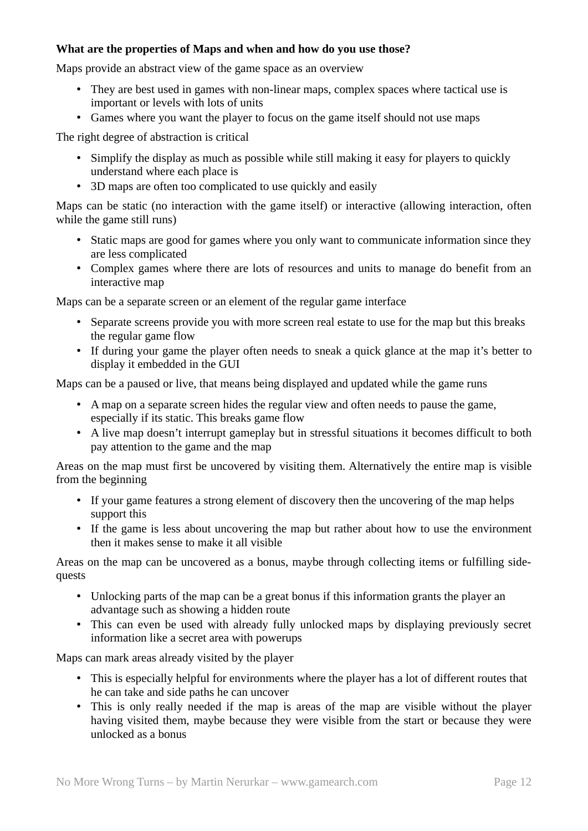#### **What are the properties of Maps and when and how do you use those?**

Maps provide an abstract view of the game space as an overview

- They are best used in games with non-linear maps, complex spaces where tactical use is important or levels with lots of units
- Games where you want the player to focus on the game itself should not use maps

The right degree of abstraction is critical

- Simplify the display as much as possible while still making it easy for players to quickly understand where each place is
- 3D maps are often too complicated to use quickly and easily

Maps can be static (no interaction with the game itself) or interactive (allowing interaction, often while the game still runs)

- Static maps are good for games where you only want to communicate information since they are less complicated
- Complex games where there are lots of resources and units to manage do benefit from an interactive map

Maps can be a separate screen or an element of the regular game interface

- Separate screens provide you with more screen real estate to use for the map but this breaks the regular game flow
- If during your game the player often needs to sneak a quick glance at the map it's better to display it embedded in the GUI

Maps can be a paused or live, that means being displayed and updated while the game runs

- A map on a separate screen hides the regular view and often needs to pause the game, especially if its static. This breaks game flow
- A live map doesn't interrupt gameplay but in stressful situations it becomes difficult to both pay attention to the game and the map

Areas on the map must first be uncovered by visiting them. Alternatively the entire map is visible from the beginning

- If your game features a strong element of discovery then the uncovering of the map helps support this
- If the game is less about uncovering the map but rather about how to use the environment then it makes sense to make it all visible

Areas on the map can be uncovered as a bonus, maybe through collecting items or fulfilling sidequests

- Unlocking parts of the map can be a great bonus if this information grants the player an advantage such as showing a hidden route
- This can even be used with already fully unlocked maps by displaying previously secret information like a secret area with powerups

Maps can mark areas already visited by the player

- This is especially helpful for environments where the player has a lot of different routes that he can take and side paths he can uncover
- This is only really needed if the map is areas of the map are visible without the player having visited them, maybe because they were visible from the start or because they were unlocked as a bonus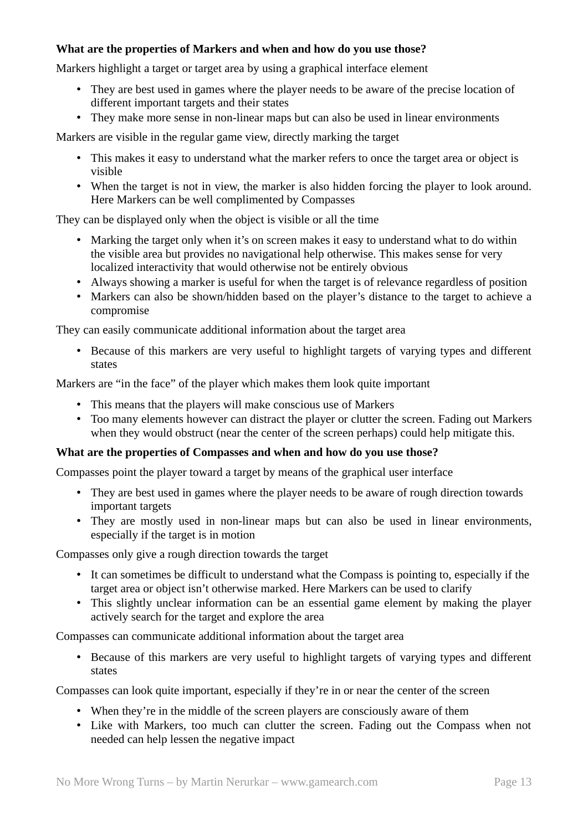#### **What are the properties of Markers and when and how do you use those?**

Markers highlight a target or target area by using a graphical interface element

- They are best used in games where the player needs to be aware of the precise location of different important targets and their states
- They make more sense in non-linear maps but can also be used in linear environments

Markers are visible in the regular game view, directly marking the target

- This makes it easy to understand what the marker refers to once the target area or object is visible
- When the target is not in view, the marker is also hidden forcing the player to look around. Here Markers can be well complimented by Compasses

They can be displayed only when the object is visible or all the time

- Marking the target only when it's on screen makes it easy to understand what to do within the visible area but provides no navigational help otherwise. This makes sense for very localized interactivity that would otherwise not be entirely obvious
- Always showing a marker is useful for when the target is of relevance regardless of position
- Markers can also be shown/hidden based on the player's distance to the target to achieve a compromise

They can easily communicate additional information about the target area

• Because of this markers are very useful to highlight targets of varying types and different states

Markers are "in the face" of the player which makes them look quite important

- This means that the players will make conscious use of Markers
- Too many elements however can distract the player or clutter the screen. Fading out Markers when they would obstruct (near the center of the screen perhaps) could help mitigate this.

#### **What are the properties of Compasses and when and how do you use those?**

Compasses point the player toward a target by means of the graphical user interface

- They are best used in games where the player needs to be aware of rough direction towards important targets
- They are mostly used in non-linear maps but can also be used in linear environments, especially if the target is in motion

Compasses only give a rough direction towards the target

- It can sometimes be difficult to understand what the Compass is pointing to, especially if the target area or object isn't otherwise marked. Here Markers can be used to clarify
- This slightly unclear information can be an essential game element by making the player actively search for the target and explore the area

Compasses can communicate additional information about the target area

• Because of this markers are very useful to highlight targets of varying types and different states

Compasses can look quite important, especially if they're in or near the center of the screen

- When they're in the middle of the screen players are consciously aware of them
- Like with Markers, too much can clutter the screen. Fading out the Compass when not needed can help lessen the negative impact